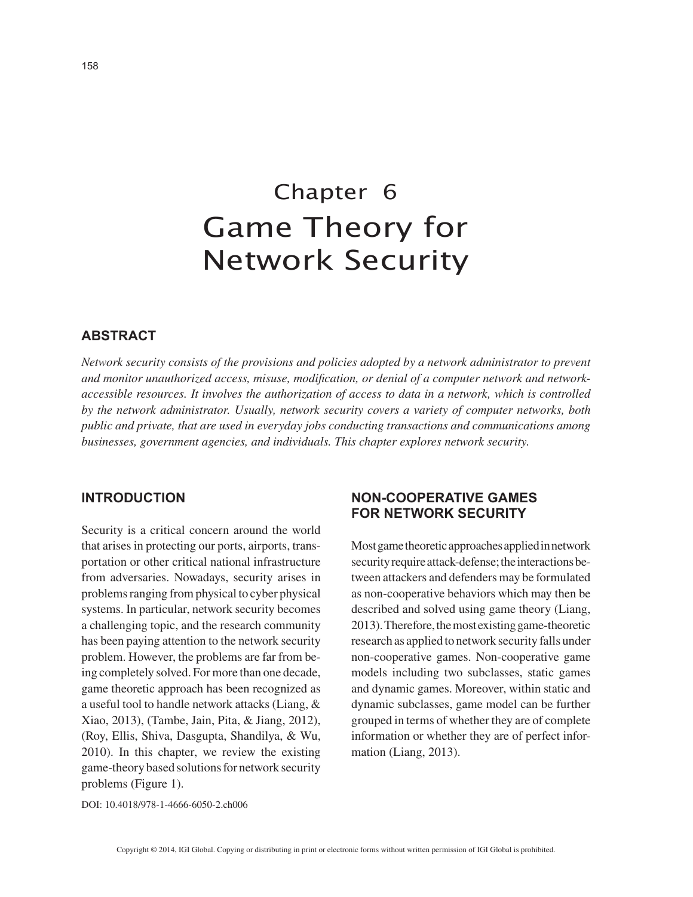# Chapter 6 Game Theory for Network Security

# **ABSTRACT**

*Network security consists of the provisions and policies adopted by a network administrator to prevent and monitor unauthorized access, misuse, modification, or denial of a computer network and networkaccessible resources. It involves the authorization of access to data in a network, which is controlled by the network administrator. Usually, network security covers a variety of computer networks, both public and private, that are used in everyday jobs conducting transactions and communications among businesses, government agencies, and individuals. This chapter explores network security.*

#### **INTRODUCTION**

Security is a critical concern around the world that arises in protecting our ports, airports, transportation or other critical national infrastructure from adversaries. Nowadays, security arises in problems ranging from physical to cyber physical systems. In particular, network security becomes a challenging topic, and the research community has been paying attention to the network security problem. However, the problems are far from being completely solved. For more than one decade, game theoretic approach has been recognized as a useful tool to handle network attacks (Liang, & Xiao, 2013), (Tambe, Jain, Pita, & Jiang, 2012), (Roy, Ellis, Shiva, Dasgupta, Shandilya, & Wu, 2010). In this chapter, we review the existing game-theory based solutions for network security problems (Figure 1).

## **NON-COOPERATIVE GAMES FOR NETWORK SECURITY**

Most game theoretic approaches applied in network security require attack-defense; the interactions between attackers and defenders may be formulated as non-cooperative behaviors which may then be described and solved using game theory (Liang, 2013). Therefore, the most existing game-theoretic research as applied to network security falls under non-cooperative games. Non-cooperative game models including two subclasses, static games and dynamic games. Moreover, within static and dynamic subclasses, game model can be further grouped in terms of whether they are of complete information or whether they are of perfect information (Liang, 2013).

DOI: 10.4018/978-1-4666-6050-2.ch006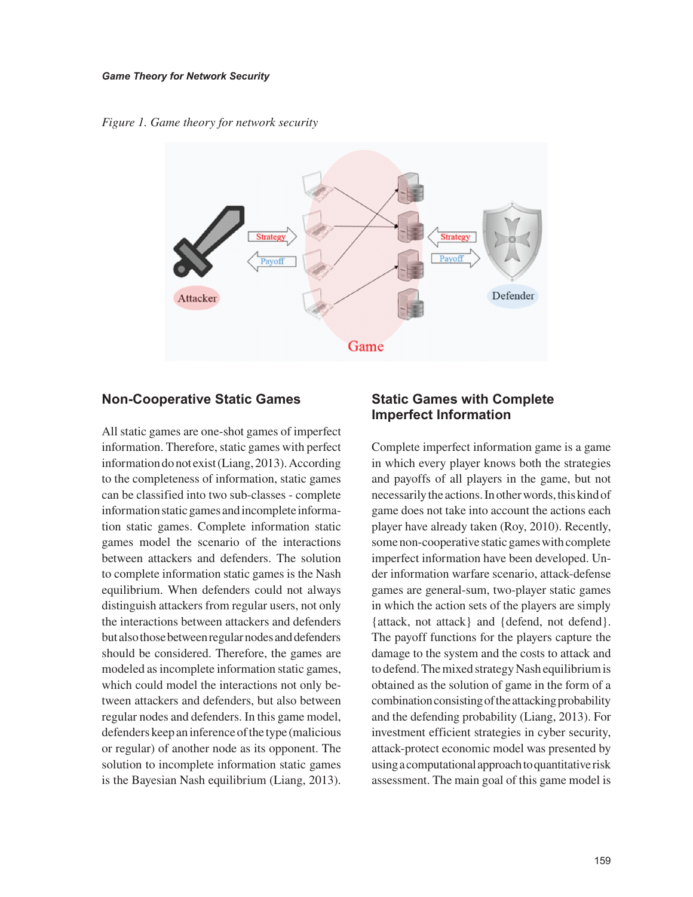*Figure 1. Game theory for network security*



## **Non-Cooperative Static Games**

All static games are one-shot games of imperfect information. Therefore, static games with perfect information do not exist (Liang, 2013). According to the completeness of information, static games can be classified into two sub-classes - complete information static games and incomplete information static games. Complete information static games model the scenario of the interactions between attackers and defenders. The solution to complete information static games is the Nash equilibrium. When defenders could not always distinguish attackers from regular users, not only the interactions between attackers and defenders but also those between regular nodes and defenders should be considered. Therefore, the games are modeled as incomplete information static games, which could model the interactions not only between attackers and defenders, but also between regular nodes and defenders. In this game model, defenders keep an inference of the type (malicious or regular) of another node as its opponent. The solution to incomplete information static games is the Bayesian Nash equilibrium (Liang, 2013).

# **Static Games with Complete Imperfect Information**

Complete imperfect information game is a game in which every player knows both the strategies and payoffs of all players in the game, but not necessarily the actions. In other words, this kind of game does not take into account the actions each player have already taken (Roy, 2010). Recently, some non-cooperative static games with complete imperfect information have been developed. Under information warfare scenario, attack-defense games are general-sum, two-player static games in which the action sets of the players are simply {attack, not attack} and {defend, not defend}. The payoff functions for the players capture the damage to the system and the costs to attack and to defend. The mixed strategy Nash equilibrium is obtained as the solution of game in the form of a combination consisting of the attacking probability and the defending probability (Liang, 2013). For investment efficient strategies in cyber security, attack-protect economic model was presented by using a computational approach to quantitative risk assessment. The main goal of this game model is